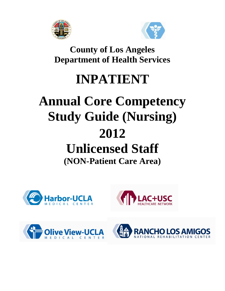



**County of Los Angeles Department of Health Services**

# **INPATIENT**

## **Annual Core Competency Study Guide (Nursing) 2012 Unlicensed Staff (NON-Patient Care Area)**







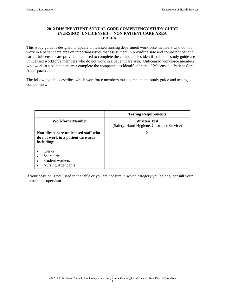#### **2012 DHS INPATIENT ANNUAL CORE COMPETENCY STUDY GUIDE (NURSING): UNLICENSED –- NON-PATIENT CARE AREA PREFACE**

This study guide is designed to update unlicensed nursing department workforce members who do not work in a patient care area on important issues that assist them in providing safe and competent patient care. Unlicensed care providers required to complete the competencies identified in this study guide are unlicensed workforce members who do not work in a patient care area. Unlicensed workforce members who work in a patient care area complete the competencies identified in the "Unlicensed – Patient Care Area" packet.

The following table describes which workforce members must complete the study guide and testing components.

|                                                                                          | <b>Testing Requirements</b>                                     |
|------------------------------------------------------------------------------------------|-----------------------------------------------------------------|
| <b>Workforce Member</b>                                                                  | <b>Written Test</b><br>(Safety: Hand Hygiene, Customer Service) |
| Non-direct care unlicensed staff who<br>do not work in a patient care area<br>including: | X                                                               |
| Clerks<br><b>Secretaries</b><br>Student workers<br><b>Nursing Attendants</b>             |                                                                 |

If your position is not listed in the table or you are not sure in which category you belong, consult your immediate supervisor.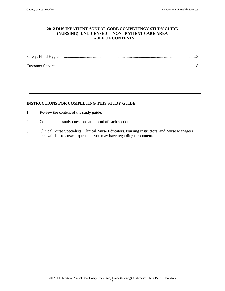#### **2012 DHS INPATIENT ANNUAL CORE COMPETENCY STUDY GUIDE (NURSING): UNLICENSED –- NON - PATIENT CARE AREA TABLE OF CONTENTS**

#### **INSTRUCTIONS FOR COMPLETING THIS STUDY GUIDE**

- 1. Review the content of the study guide.
- 2. Complete the study questions at the end of each section.
- 3. Clinical Nurse Specialists, Clinical Nurse Educators, Nursing Instructors, and Nurse Managers are available to answer questions you may have regarding the content.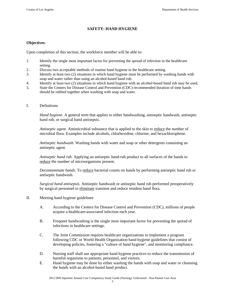#### **SAFETY: HAND HYGIENE**

#### **Objectives**:

Upon completion of this section, the workforce member will be able to:

- 1. Identify the single most important factor for preventing the spread of infection in the healthcare setting.
- 2. Discuss two acceptable methods of routine hand hygiene in the healthcare setting.
- 3. Identify at least two (2) situations in which hand hygiene must be performed by washing hands with soap and water rather than using an alcohol-based hand rub.
- 4. Identify at least two (2) situations in which hand hygiene with an alcohol-based hand rub may be used.
- 5. State the Centers for Disease Control and Prevention (CDC) recommended duration of time hands should be rubbed together when washing with soap and water.
- I. Definitions

*Hand hygiene*. A general term that applies to either handwashing, antiseptic handwash, antiseptic hand rub, or surgical hand antisepsis.

*Antiseptic agent*. Antimicrobial substance that is applied to the skin to reduce the number of microbial flora. Examples include alcohols, chlorhexidine, chlorine, and hexachlorophene.

*Antiseptic handwash.* Washing hands with water and soap or other detergents containing an antiseptic agent.

*Antiseptic hand rub*. Applying an antiseptic hand-rub product to all surfaces of the hands to reduce the number of microorganisms present.

*Decontaminate hands.* To reduce bacterial counts on hands by performing antiseptic hand rub or antiseptic handwash.

*Surgical hand antisepsis*. Antiseptic handwash or antiseptic hand rub performed preoperatively by surgical personnel to eliminate transient and reduce resident hand flora.

- II. Meeting hand hygiene guidelines
	- A. According to the Centers for Disease Control and Prevention (CDC), millions of people acquire a healthcare-associated infection each year.
	- B. Frequent handwashing is the single most important factor for preventing the spread of infections in healthcare settings.
	- C. The Joint Commission requires healthcare organizations to implement a program following CDC or World Health Organization hand hygiene guidelines that consist of developing policies, fostering a "culture of hand hygiene", and monitoring compliance.
	- D. Nursing staff shall use appropriate hand hygiene practices to reduce the transmission of harmful organisms to patients, personnel, and visitors.
	- E. Hand hygiene may be done by either washing the hands with soap and water or cleansing the hands with an alcohol-based hand product.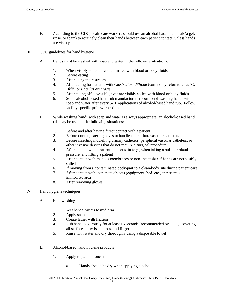- F. According to the CDC, healthcare workers should use an alcohol-based hand rub (a gel, rinse, or foam) to routinely clean their hands between each patient contact, unless hands are visibly soiled.
- III. CDC guidelines for hand hygiene
	- A. Hands must be washed with soap and water in the following situations:
		- 1. When visibly soiled or contaminated with blood or body fluids
		- 2. Before eating
		- 3. After using the restroom
		- 4. After caring for patients with *Clostridium difficile* (commonly referred to as "C. Diff") or *Bacillus anthracis*
		- 5. After taking off gloves if gloves are visibly soiled with blood or body fluids
		- 6. Some alcohol-based hand rub manufacturers recommend washing hands with soap and water after every 5-10 applications of alcohol-based hand rub. Follow facility specific policy/procedure.
	- B. While washing hands with soap and water is always appropriate, an alcohol-based hand rub may be used in the following situations:
		- 1. Before and after having direct contact with a patient
		- 2. Before donning sterile gloves to handle central intravascular catheters
		- 3. Before inserting indwelling urinary catheters, peripheral vascular catheters, or other invasive devices that do not require a surgical procedure
		- 4. After contact with a patient"s intact skin (e.g., when taking a pulse or blood pressure, and lifting a patient)
		- 5. After contact with mucous membranes or non-intact skin if hands are not visibly soiled
		- 6. If moving from a contaminated body-part to a clean-body site during patient care
		- 7. After contact with inanimate objects (equipment, bed, etc.) in patient"s immediate area
		- 8. After removing gloves
- IV. Hand hygiene techniques
	- A. Handwashing
		- 1. Wet hands, wrists to mid-arm
		- 2. Apply soap
		- 3. Create lather with friction
		- 4. Rub hands vigorously for at least 15 seconds (recommended by CDC), covering all surfaces of wrists, hands, and fingers
		- 5. Rinse with water and dry thoroughly using a disposable towel
	- B. Alcohol-based hand hygiene products
		- 1. Apply to palm of one hand
			- a. Hands should be dry when applying alcohol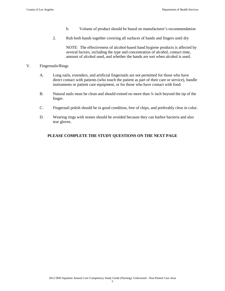- b. Volume of product should be based on manufacturer's recommendation
- 2. Rub both hands together covering all surfaces of hands and fingers until dry

NOTE: The effectiveness of alcohol-based hand hygiene products is affected by several factors, including the type and concentration of alcohol, contact time, amount of alcohol used, and whether the hands are wet when alcohol is used.

#### V. Fingernails/Rings

- A. Long nails, extenders, and artificial fingernails are not permitted for those who have direct contact with patients (who touch the patient as part of their care or service), handle instruments or patient care equipment, or for those who have contact with food.
- B. Natural nails must be clean and should extend no more than  $\frac{1}{4}$  inch beyond the tip of the finger.
- C. Fingernail polish should be in good condition, free of chips, and preferably clear in color.
- D. Wearing rings with stones should be avoided because they can harbor bacteria and also tear gloves.

### **PLEASE COMPLETE THE STUDY QUESTIONS ON THE NEXT PAGE**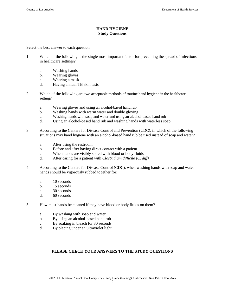#### **HAND HYGIENE Study Questions**

Select the best answer to each question.

- 1. Which of the following is the single most important factor for preventing the spread of infections in healthcare settings?
	- a. Washing hands
	- b. Wearing gloves
	- c. Wearing a mask
	- d. Having annual TB skin tests
- 2. Which of the following are two acceptable methods of routine hand hygiene in the healthcare setting?
	- a. Wearing gloves and using an alcohol-based hand rub
	- b. Washing hands with warm water and double gloving
	- c. Washing hands with soap and water and using an alcohol-based hand rub
	- d. Using an alcohol-based hand rub and washing hands with waterless soap
- 3. According to the Centers for Disease Control and Prevention (CDC), in which of the following situations may hand hygiene with an alcohol-based hand rub be used instead of soap and water?
	- a. After using the restroom
	- b. Before and after having direct contact with a patient
	- c. When hands are visibly soiled with blood or body fluids
	- d. After caring for a patient with *Clostridium difficile (C. diff)*
- 4. According to the Centers for Disease Control (CDC), when washing hands with soap and water hands should be vigorously rubbed together for:
	- a. 10 seconds
	- b. 15 seconds
	- c. 30 seconds
	- d. 60 seconds
- 5. How must hands be cleaned if they have blood or body fluids on them?
	- a. By washing with soap and water
	- b. By using an alcohol-based hand rub
	- c. By soaking in bleach for 30 seconds
	- d. By placing under an ultraviolet light

#### **PLEASE CHECK YOUR ANSWERS TO THE STUDY QUESTIONS**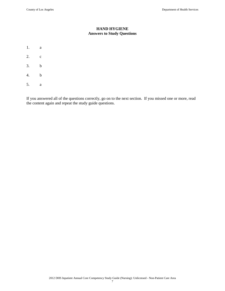#### **HAND HYGIENE Answers to Study Questions**

- 1. a
- 2. c
- 3. b
- 4. b
- 5. a

If you answered all of the questions correctly, go on to the next section. If you missed one or more, read the content again and repeat the study guide questions.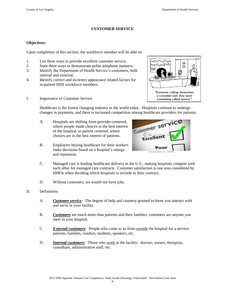$\Box$  $\Box$ 

"Someone calling themselves a customer says they want something called service."

#### **CUSTOMER SERVICE**

#### **Objectives:**

Upon completion of this section, the workforce member will be able to:

- 1. List three ways to provide excellent customer service.
- 2. State three ways to demonstrate polite telephone manners.
- 3. Identify the Department of Health Service's customers, both internal and external.
- 4. Identify correct and incorrect appearance related factors for in-patient DHS workforce members.
- I. Importance of Customer Service

Healthcare is the fastest changing industry in the world today. Hospitals continue to undergo changes in payments, and there is increased competition among healthcare providers for patients.

- A. Hospitals are shifting from provider-centered, where people made choices in the best interest of the hospital, to patient centered, where choices are in the best interest of patients.
- B. Employers buying healthcare for their workers make decisions based on a hospital's ratings and reputation.



- C. Managed care is leading healthcare delivery in the U.S., making hospitals compete with each other for managed care contracts. Customer satisfaction is one area considered by HMOs when deciding which hospitals to include in their contract.
- D. Without customers, we would not have jobs.
- II. Definitions
	- A. *Customer service:* The degree of help and courtesy granted to those you interact with and serve in your facility.
	- B. *Customers* are much more than patients and their families; customers are anyone you meet in your hospital.
	- C. *External customers:* People who come to us from outside the hospital for a service: patients, families, vendors, students, speakers, etc.
	- D. *Internal customers*: Those who work at the facility: doctors, nurses, therapists, custodians, administrative staff, etc.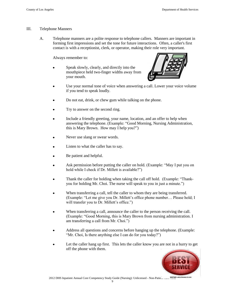#### III. Telephone Manners

A. Telephone manners are a polite response to telephone callers. Manners are important in forming first impressions and set the tone for future interactions. Often, a caller's first contact is with a receptionist, clerk, or operator, making their role very important.

Always remember to:

Speak slowly, clearly, and directly into the mouthpiece held two-finger widths away from your mouth.



- Use your normal tone of voice when answering a call. Lower your voice volume if you tend to speak loudly.
- Do not eat, drink, or chew gum while talking on the phone.
- Try to answer on the second ring.
- Include a friendly greeting, your name, location, and an offer to help when answering the telephone. (Example: "Good Morning, Nursing Administration, this is Mary Brown. How may I help you?")
- Never use slang or swear words.
- Listen to what the caller has to say.
- Be patient and helpful.
- Ask permission before putting the caller on hold. (Example: "May I put you on hold while I check if Dr. Millett is available?")
- Thank the caller for holding when taking the call off hold. (Example: "Thankyou for holding Mr. Choi. The nurse will speak to you in just a minute.")
- When transferring a call, tell the caller to whom they are being transferred. (Example: "Let me give you Dr. Millett's office phone number... Please hold; I will transfer you to Dr. Millett's office.")
- When transferring a call, announce the caller to the person receiving the call. (Example: "Good Morning, this is Mary Brown from nursing administration. I am transferring a call from Mr. Choi.")
- Address all questions and concerns before hanging up the telephone. (Example: "Mr. Choi, Is there anything else I can do for you today?")
- Let the caller hang up first. This lets the caller know you are not in a hurry to get off the phone with them.

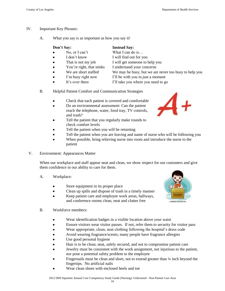- IV. Important Key Phrases:
	- A. What you say is as important as how you say it!

|           | Don't Say:                | <b>Instead Say:</b>                                   |
|-----------|---------------------------|-------------------------------------------------------|
|           | No, or I can't            | What I can do is                                      |
| $\bullet$ | I don't know              | I will find out for you                               |
| $\bullet$ | That is not my job        | I will get someone to help you                        |
| $\bullet$ | You're right, that stinks | I understand your concerns                            |
| $\bullet$ | We are short staffed      | We may be busy, but we are never too busy to help you |
| $\bullet$ | I'm busy right now        | I'll be with you in just a moment                     |

- It's over there I'll take you where you need to go
- B. Helpful Patient Comfort and Communication Strategies
	- Check that each patient is covered and comfortable
	- Do an environmental assessment: Can the patient reach the telephone, water, food tray, TV controls, and trash?
	- Tell the patient that you regularly make rounds to check comfort levels
	- Tell the patient when you will be returning
	- Tell the patient when you are leaving and name of nurse who will be following you
	- When possible, bring relieving nurse into room and introduce the nurse to the patient
- V. Environment: Appearances Matter

When our workplace and staff appear neat and clean, we show respect for our customers and give them confidence in our ability to care for them.

- A. Workplace:
	- Store equipment in its proper place
	- Clean up spills and dispose of trash in a timely manner
	- Keep patient care and employee work areas, hallways,  $\bullet$ and conference rooms clean, neat and clutter free
- B. Workforce members:
	- $\bullet$ Wear identification badges in a visible location above your waist
	- Ensure visitors wear visitor passes. If not, refer them to security for visitor pass
	- Wear appropriate, clean, neat clothing following the hospital's dress code
	- Avoid wearing fragrance/scents; many people have fragrance allergies
	- Use good personal hygiene
	- Hair is to be clean, neat, safely secured, and not to compromise patient care
	- Jewelry must be consistent with the work assignment, not injurious to the patient, nor pose a potential safety problem to the employee
	- Fingernails must be clean and short, not to extend greater than  $\frac{1}{4}$  inch beyond the fingertips. No artificial nails
	- Wear clean shoes with enclosed heels and toe



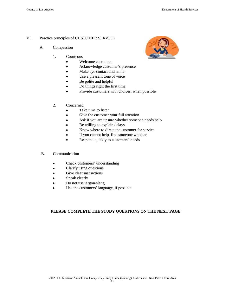#### VI. Practice principles of CUSTOMER SERVICE

- A. Compassion
	- 1. Courteous
		- Welcome customers  $\bullet$
		- Acknowledge customer"s presence  $\bullet$
		- Make eye contact and smile  $\bullet$
		- $\bullet$ Use a pleasant tone of voice
		- Be polite and helpful
		- Do things right the first time
		- Provide customers with choices, when possible
	- 2. Concerned
		- Take time to listen
		- Give the customer your full attention  $\bullet$
		- $\bullet$ Ask if you are unsure whether someone needs help
		- Be willing to explain delays
		- Know where to direct the customer for service
		- If you cannot help, find someone who can
		- Respond quickly to customers' needs
- B. Communication
	- Check customers' understanding  $\bullet$
	- Clarify using questions  $\bullet$
	- $\bullet$ Give clear instructions
	- Speak clearly  $\bullet$
	- Do not use jargon/slang
	- Use the customers' language, if possible

### **PLEASE COMPLETE THE STUDY QUESTIONS ON THE NEXT PAGE**

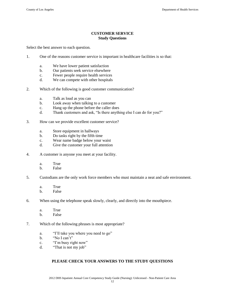### **CUSTOMER SERVICE Study Questions**

Select the best answer to each question.

- 1. One of the reasons customer service is important in healthcare facilities is so that:
	- a. We have lower patient satisfaction
	- b. Our patients seek service elsewhere
	- c. Fewer people require health services
	- d. We can compete with other hospitals
- 2. Which of the following is good customer communication?
	- a. Talk as loud as you can
	- b. Look away when talking to a customer
	- c. Hang up the phone before the caller does
	- d. Thank customers and ask, "Is there anything else I can do for you?"
- 3. How can we provide excellent customer service?
	- a. Store equipment in hallways
	- b. Do tasks right by the fifth time
	- c. Wear name badge below your waist
	- d. Give the customer your full attention
- 4. A customer is anyone you meet at your facility.
	- a. True
	- b. False
- 5. Custodians are the only work force members who must maintain a neat and safe environment.
	- a. True
	- b. False
- 6. When using the telephone speak slowly, clearly, and directly into the mouthpiece.
	- a. True
	- b. False
- 7. Which of the following phrases is most appropriate?
	- a. "I"ll take you where you need to go"
	- b. "No I can"t"
	- c. "I"m busy right now"
	- d. "That is not my job"

#### **PLEASE CHECK YOUR ANSWERS TO THE STUDY QUESTIONS**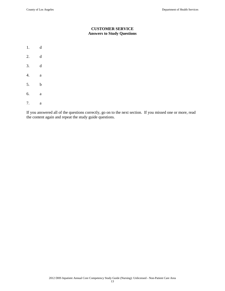#### **CUSTOMER SERVICE Answers to Study Questions**

- 1. d
- 2. d
- 3. d
- 4. a
- 5. b
- 6. a
- 7. a

If you answered all of the questions correctly, go on to the next section. If you missed one or more, read the content again and repeat the study guide questions.